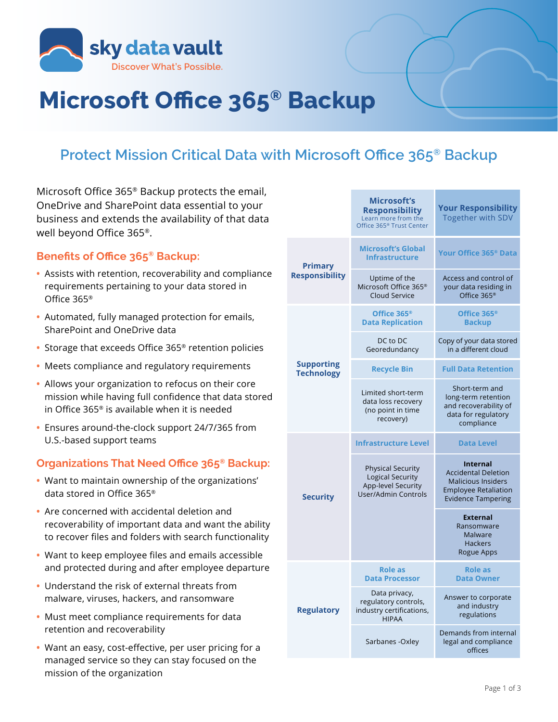

# **Microsoft Office 365® Backup**

## **Protect Mission Critical Data with Microsoft Office 365® Backup**

Microsoft Office 365® Backup protects the email, OneDrive and SharePoint data essential to your business and extends the availability of that data well beyond Office 365®.

#### **Benefits of Office 365® Backup:**

- **•** Assists with retention, recoverability and compliance requirements pertaining to your data stored in Office 365®
- **•** Automated, fully managed protection for emails, SharePoint and OneDrive data
- **•** Storage that exceeds Office 365® retention policies
- **•** Meets compliance and regulatory requirements
- **•** Allows your organization to refocus on their core mission while having full confidence that data stored in Office 365® is available when it is needed
- **•** Ensures around-the-clock support 24/7/365 from U.S.-based support teams

### **Organizations That Need Office 365® Backup:**

- **•** Want to maintain ownership of the organizations' data stored in Office 365®
- **•** Are concerned with accidental deletion and recoverability of important data and want the ability to recover files and folders with search functionality
- **•** Want to keep employee files and emails accessible and protected during and after employee departure
- **•** Understand the risk of external threats from malware, viruses, hackers, and ransomware
- **•** Must meet compliance requirements for data retention and recoverability
- **•** Want an easy, cost-effective, per user pricing for a managed service so they can stay focused on the mission of the organization

|                                        | Microsoft's<br><b>Responsibility</b><br>Learn more from the<br>Office 365 <sup>®</sup> Trust Center | <b>Your Responsibility</b><br>Together with SDV                                                                                        |  |
|----------------------------------------|-----------------------------------------------------------------------------------------------------|----------------------------------------------------------------------------------------------------------------------------------------|--|
| <b>Primary</b>                         | <b>Microsoft's Global</b><br><b>Infrastructure</b>                                                  | Your Office 365 <sup>®</sup> Data                                                                                                      |  |
| <b>Responsibility</b>                  | Uptime of the<br>Microsoft Office 365 <sup>®</sup><br><b>Cloud Service</b>                          | Access and control of<br>your data residing in<br>Office 365 <sup>®</sup>                                                              |  |
|                                        | Office 365 <sup>®</sup><br><b>Data Replication</b>                                                  | Office 365 <sup>®</sup><br><b>Backup</b>                                                                                               |  |
|                                        | DC to DC<br>Georedundancy                                                                           | Copy of your data stored<br>in a different cloud                                                                                       |  |
| <b>Supporting</b><br><b>Technology</b> | <b>Recycle Bin</b>                                                                                  | <b>Full Data Retention</b>                                                                                                             |  |
|                                        | Limited short-term<br>data loss recovery<br>(no point in time<br>recovery)                          | Short-term and<br>long-term retention<br>and recoverability of<br>data for regulatory<br>compliance                                    |  |
| <b>Security</b>                        | <b>Infrastructure Level</b>                                                                         | <b>Data Level</b>                                                                                                                      |  |
|                                        | <b>Physical Security</b><br>Logical Security<br><b>App-level Security</b><br>User/Admin Controls    | <b>Internal</b><br><b>Accidental Deletion</b><br><b>Malicious Insiders</b><br><b>Employee Retaliation</b><br><b>Evidence Tampering</b> |  |
|                                        |                                                                                                     | <b>External</b><br>Ransomware<br>Malware<br><b>Hackers</b><br>Rogue Apps                                                               |  |
| <b>Regulatory</b>                      | <b>Role as</b><br><b>Data Processor</b>                                                             | <b>Role as</b><br><b>Data Owner</b>                                                                                                    |  |
|                                        | Data privacy,<br>regulatory controls,<br>industry certifications,<br><b>HIPAA</b>                   | Answer to corporate<br>and industry<br>regulations                                                                                     |  |
|                                        | Sarbanes - Oxley                                                                                    | Demands from internal<br>legal and compliance<br>offices                                                                               |  |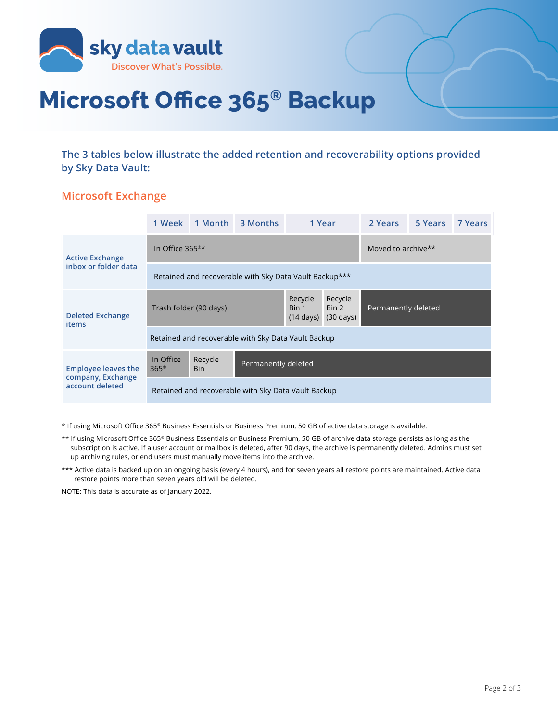

# **Microsoft Office 365® Backup**

**The 3 tables below illustrate the added retention and recoverability options provided by Sky Data Vault:**

#### **Microsoft Exchange**

|                                                                    | 1 Week                                                 |                | 1 Month 3 Months    |                                         | 1 Year                                  | 2 Years             | 5 Years | 7 Years |
|--------------------------------------------------------------------|--------------------------------------------------------|----------------|---------------------|-----------------------------------------|-----------------------------------------|---------------------|---------|---------|
| <b>Active Exchange</b><br>inbox or folder data                     | In Office $365^{\circ\star}$                           |                |                     |                                         |                                         | Moved to archive**  |         |         |
|                                                                    | Retained and recoverable with Sky Data Vault Backup*** |                |                     |                                         |                                         |                     |         |         |
| <b>Deleted Exchange</b><br>items                                   | Trash folder (90 days)                                 |                |                     | Recycle<br>Bin 1<br>$(14 \text{ days})$ | Recycle<br>Bin 2<br>$(30 \text{ days})$ | Permanently deleted |         |         |
|                                                                    | Retained and recoverable with Sky Data Vault Backup    |                |                     |                                         |                                         |                     |         |         |
| <b>Employee leaves the</b><br>company, Exchange<br>account deleted | In Office<br>$365^\circ$                               | Recycle<br>Bin | Permanently deleted |                                         |                                         |                     |         |         |
|                                                                    | Retained and recoverable with Sky Data Vault Backup    |                |                     |                                         |                                         |                     |         |         |

\* If using Microsoft Office 365® Business Essentials or Business Premium, 50 GB of active data storage is available.

- \*\* If using Microsoft Office 365® Business Essentials or Business Premium, 50 GB of archive data storage persists as long as the subscription is active. If a user account or mailbox is deleted, after 90 days, the archive is permanently deleted. Admins must set up archiving rules, or end users must manually move items into the archive.
- \*\*\* Active data is backed up on an ongoing basis (every 4 hours), and for seven years all restore points are maintained. Active data restore points more than seven years old will be deleted.

NOTE: This data is accurate as of January 2022.